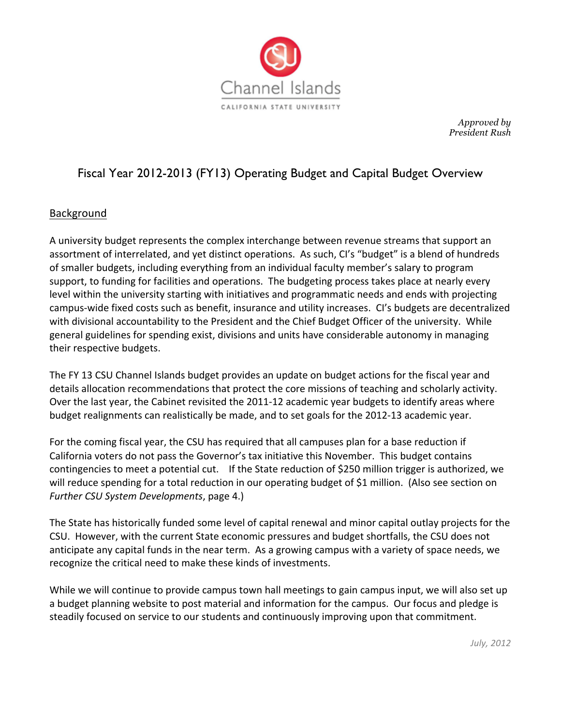

*Approved by President Rush*

# Fiscal Year 2012-2013 (FY13) Operating Budget and Capital Budget Overview

## Background

A university budget represents the complex interchange between revenue streams that support an assortment of interrelated, and yet distinct operations. As such, CI's "budget" is a blend of hundreds of smaller budgets, including everything from an individual faculty member's salary to program support, to funding for facilities and operations. The budgeting process takes place at nearly every level within the university starting with initiatives and programmatic needs and ends with projecting campus-wide fixed costs such as benefit, insurance and utility increases. CI's budgets are decentralized with divisional accountability to the President and the Chief Budget Officer of the university. While general guidelines for spending exist, divisions and units have considerable autonomy in managing their respective budgets.

The FY+13 CSU Channel Islands budget provides an update on budget actions for the fiscal year and details allocation recommendations that protect the core missions of teaching and scholarly activity. Over the last year, the Cabinet revisited the 2011-12 academic year budgets to identify areas where budget realignments can realistically be made, and to set goals for the 2012-13 academic year.

For the coming fiscal year, the CSU has required that all campuses plan for a base reduction if California voters do not pass the Governor's tax initiative this November. This budget contains contingencies to meet a potential cut. If the State reduction of \$250 million trigger is authorized, we will reduce spending for a total reduction in our operating budget of \$1 million. (Also see section on *Further CSU System Developments*, page 4.)

The State has historically funded some level of capital renewal and minor capital outlay projects for the CSU. However, with the current State economic pressures and budget shortfalls, the CSU does not anticipate any capital funds in the near term. As a growing campus with a variety of space needs, we recognize the critical need to make these kinds of investments.

While we will continue to provide campus town hall meetings to gain campus input, we will also set up a budget planning website to post material and information for the campus. Our focus and pledge is steadily focused on service to our students and continuously improving upon that commitment.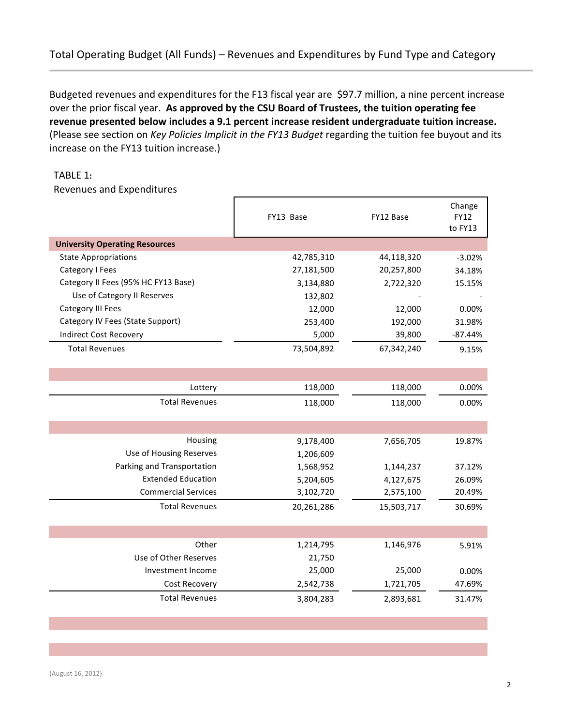## Total Operating Budget (All Funds) – Revenues and Expenditures by Fund Type and Category

Budgeted revenues and expenditures for the F13 fiscal year are \$97.7 million, a nine percent increase over the prior fiscal year. As approved by the CSU Board of Trustees, the tuition operating fee revenue presented below includes a 9.1 percent increase resident undergraduate tuition increase. (Please see section on *Key Policies Implicit in the FY13 Budget* regarding the tuition fee buyout and its increase on the FY13 tuition increase.)

#### TABLE+1**:**

Revenues and Expenditures

|                                       | FY13 Base  | FY12 Base  | Change<br>FY12<br>to FY13 |
|---------------------------------------|------------|------------|---------------------------|
| <b>University Operating Resources</b> |            |            |                           |
| <b>State Appropriations</b>           | 42,785,310 | 44,118,320 | $-3.02%$                  |
| Category I Fees                       | 27,181,500 | 20,257,800 | 34.18%                    |
| Category II Fees (95% HC FY13 Base)   | 3,134,880  | 2,722,320  | 15.15%                    |
| Use of Category II Reserves           | 132,802    |            |                           |
| Category III Fees                     | 12,000     | 12,000     | 0.00%                     |
| Category IV Fees (State Support)      | 253,400    | 192,000    | 31.98%                    |
| <b>Indirect Cost Recovery</b>         | 5,000      | 39,800     | $-87.44%$                 |
| <b>Total Revenues</b>                 | 73,504,892 | 67,342,240 | 9.15%                     |
|                                       |            |            |                           |
|                                       |            |            |                           |
| Lottery                               | 118,000    | 118,000    | 0.00%                     |
| <b>Total Revenues</b>                 | 118,000    | 118,000    | 0.00%                     |
|                                       |            |            |                           |
|                                       |            |            |                           |
| Housing                               | 9,178,400  | 7,656,705  | 19.87%                    |
| Use of Housing Reserves               | 1,206,609  |            |                           |
| Parking and Transportation            | 1,568,952  | 1,144,237  | 37.12%                    |
| <b>Extended Education</b>             | 5,204,605  | 4,127,675  | 26.09%                    |
| <b>Commercial Services</b>            | 3,102,720  | 2,575,100  | 20.49%                    |
| <b>Total Revenues</b>                 | 20,261,286 | 15,503,717 | 30.69%                    |
|                                       |            |            |                           |
|                                       |            |            |                           |
| Other                                 | 1,214,795  | 1,146,976  | 5.91%                     |
| Use of Other Reserves                 | 21,750     |            |                           |
| Investment Income                     | 25,000     | 25,000     | 0.00%                     |
| Cost Recovery                         | 2,542,738  | 1,721,705  | 47.69%                    |
| <b>Total Revenues</b>                 | 3,804,283  | 2,893,681  | 31.47%                    |
|                                       |            |            |                           |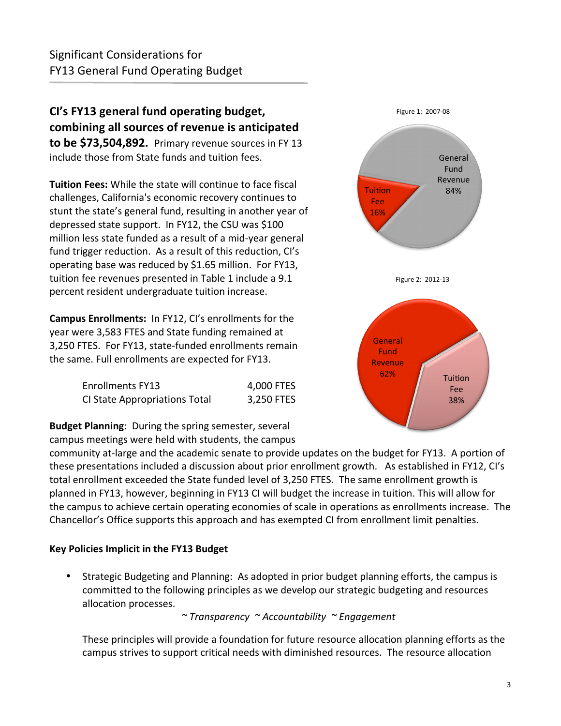**CI's FY13 general fund operating budget,** combining all sources of revenue is anticipated **to be \$73,504,892.** Primary revenue sources in FY 13 include those from State funds and tuition fees.

**Tuition Fees:** While the state will continue to face fiscal challenges, California's economic recovery continues to stunt the state's general fund, resulting in another year of depressed state support. In FY12, the CSU was  $$100$ million less state funded as a result of a mid-year general fund trigger reduction. As a result of this reduction, CI's operating base was reduced by \$1.65 million. For FY13, tuition fee revenues presented in Table 1 include a 9.1 percent resident undergraduate tuition increase.

**Campus Enrollments:** In FY12, CI's enrollments for the year were 3,583 FTES and State funding remained at 3,250 FTES. For FY13, state-funded enrollments remain the same. Full enrollments are expected for FY13.

| <b>Enrollments FY13</b>       | 4,000 FTES |
|-------------------------------|------------|
| CI State Appropriations Total | 3,250 FTES |

**Budget Planning:** During the spring semester, several campus meetings were held with students, the campus

community at-large and the academic senate to provide updates on the budget for FY13. A portion of these presentations included a discussion about prior enrollment growth. As established in FY12, CI's total enrollment exceeded the State funded level of 3,250 FTES. The same enrollment growth is planned in FY13, however, beginning in FY13 CI will budget the increase in tuition. This will allow for the campus to achieve certain operating economies of scale in operations as enrollments increase. The Chancellor's Office supports this approach and has exempted CI from enrollment limit penalties.

## **Key Policies Implicit in the FY13 Budget**

Strategic Budgeting and Planning: As adopted in prior budget planning efforts, the campus is committed to the following principles as we develop our strategic budgeting and resources allocation processes.

*~'Transparency''~'Accountability''~'Engagement*

These principles will provide a foundation for future resource allocation planning efforts as the campus strives to support critical needs with diminished resources. The resource allocation

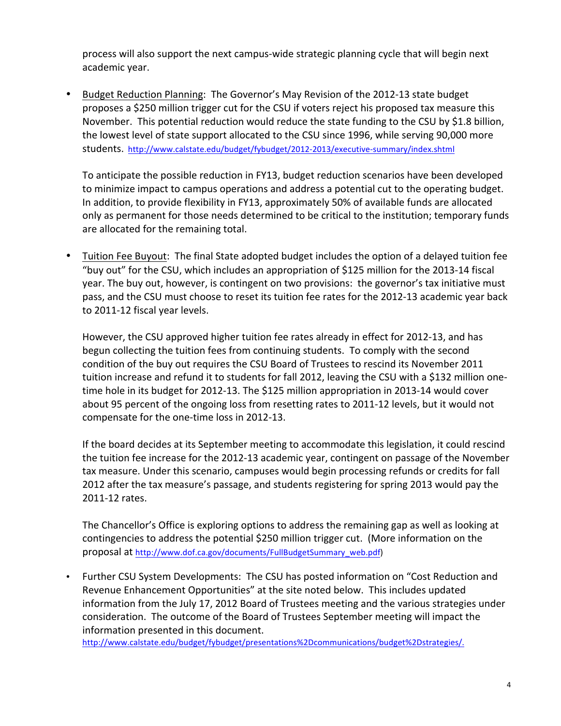process will also support the next campus-wide strategic planning cycle that will begin next academic year.

Budget Reduction Planning: The Governor's May Revision of the 2012-13 state budget proposes a \$250 million trigger cut for the CSU if voters reject his proposed tax measure this November. This potential reduction would reduce the state funding to the CSU by \$1.8 billion, the lowest level of state support allocated to the CSU since 1996, while serving 90,000 more students. http://www.calstate.edu/budget/fybudget/2012-2013/executive-summary/index.shtml •

To anticipate the possible reduction in FY13, budget reduction scenarios have been developed to minimize impact to campus operations and address a potential cut to the operating budget. In addition, to provide flexibility in FY13, approximately 50% of available funds are allocated only as permanent for those needs determined to be critical to the institution; temporary funds are allocated for the remaining total.

Tuition Fee Buyout: The final State adopted budget includes the option of a delayed tuition fee "buy out" for the CSU, which includes an appropriation of \$125 million for the 2013-14 fiscal year. The buy out, however, is contingent on two provisions: the governor's tax initiative must pass, and the CSU must choose to reset its tuition fee rates for the 2012-13 academic year back to 2011-12 fiscal year levels. •

However, the CSU approved higher tuition fee rates already in effect for 2012-13, and has begun collecting the tuition fees from continuing students. To comply with the second condition of the buy out requires the CSU Board of Trustees to rescind its November 2011 tuition increase and refund it to students for fall 2012, leaving the CSU with a \$132 million onetime hole in its budget for 2012-13. The \$125 million appropriation in 2013-14 would cover about 95 percent of the ongoing loss from resetting rates to 2011-12 levels, but it would not compensate for the one-time loss in 2012-13.

If the board decides at its September meeting to accommodate this legislation, it could rescind the tuition fee increase for the 2012-13 academic year, contingent on passage of the November tax measure. Under this scenario, campuses would begin processing refunds or credits for fall 2012 after the tax measure's passage, and students registering for spring 2013 would pay the 2011-12 rates.

The Chancellor's Office is exploring options to address the remaining gap as well as looking at contingencies to address the potential \$250 million trigger cut. (More information on the proposal at http://www.dof.ca.gov/documents/FullBudgetSummary\_web.pdf)

Further CSU System Developments: The CSU has posted information on "Cost Reduction and Revenue Enhancement Opportunities" at the site noted below. This includes updated information from the July 17, 2012 Board of Trustees meeting and the various strategies under consideration. The outcome of the Board of Trustees September meeting will impact the information presented in this document. •

http://www.calstate.edu/budget/fybudget/presentations%2Dcommunications/budget%2Dstrategies/.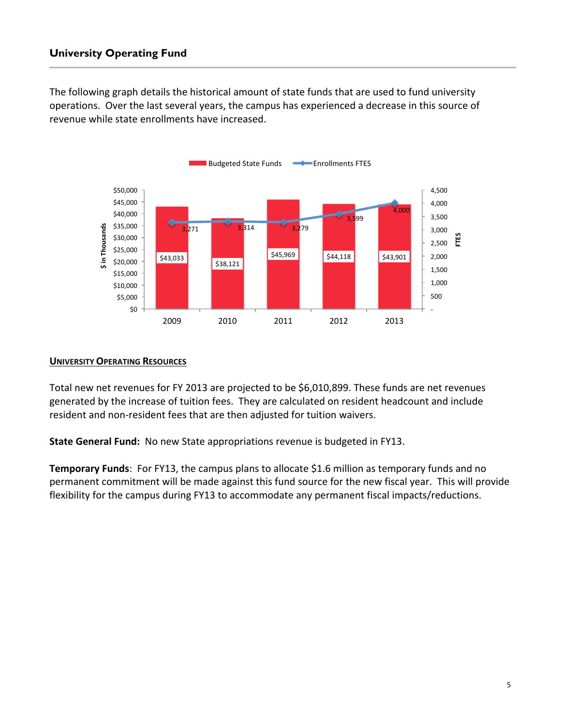## **University Operating Fund**

The following graph details the historical amount of state funds that are used to fund university operations. Over the last several years, the campus has experienced a decrease in this source of revenue while state enrollments have increased.



#### **UNIVERSITY OPERATING RESOURCES**

Total new net revenues for FY 2013 are projected to be \$6,010,899. These funds are net revenues generated by the increase of tuition fees. They are calculated on resident headcount and include resident and non-resident fees that are then adjusted for tuition waivers.

**State General Fund:** No new State appropriations revenue is budgeted in FY13.

**Temporary Funds**: For FY13, the campus plans to allocate \$1.6 million as temporary funds and no permanent commitment will be made against this fund source for the new fiscal year. This will provide flexibility for the campus during FY13 to accommodate any permanent fiscal impacts/reductions.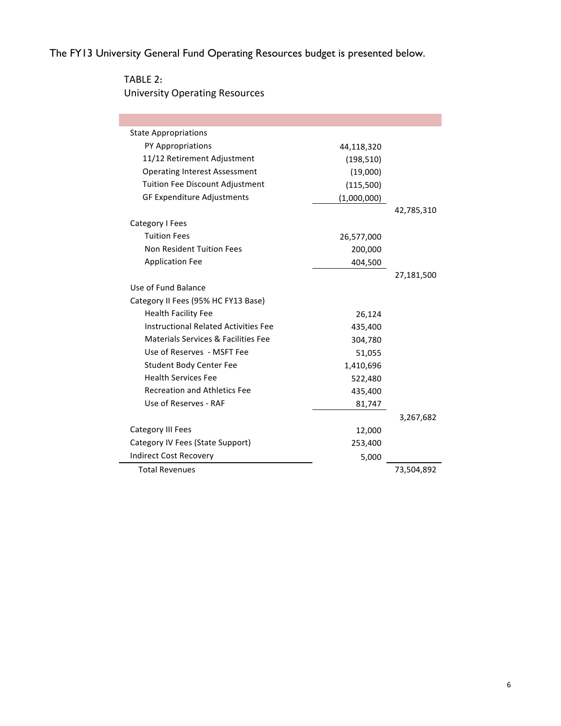The FY13 University General Fund Operating Resources budget is presented below.

TABLE+2**:** University Operating Resources

 $\overline{\phantom{a}}$ 

| <b>State Appropriations</b>                 |             |            |
|---------------------------------------------|-------------|------------|
| PY Appropriations                           | 44,118,320  |            |
| 11/12 Retirement Adjustment                 | (198, 510)  |            |
| <b>Operating Interest Assessment</b>        | (19,000)    |            |
| <b>Tuition Fee Discount Adjustment</b>      | (115,500)   |            |
| <b>GF Expenditure Adjustments</b>           | (1,000,000) |            |
|                                             |             | 42,785,310 |
| Category I Fees                             |             |            |
| <b>Tuition Fees</b>                         | 26,577,000  |            |
| Non Resident Tuition Fees                   | 200,000     |            |
| <b>Application Fee</b>                      | 404,500     |            |
|                                             |             | 27,181,500 |
| Use of Fund Balance                         |             |            |
| Category II Fees (95% HC FY13 Base)         |             |            |
| <b>Health Facility Fee</b>                  | 26,124      |            |
| <b>Instructional Related Activities Fee</b> | 435,400     |            |
| Materials Services & Facilities Fee         | 304,780     |            |
| Use of Reserves - MSFT Fee                  | 51,055      |            |
| <b>Student Body Center Fee</b>              | 1,410,696   |            |
| <b>Health Services Fee</b>                  | 522,480     |            |
| <b>Recreation and Athletics Fee</b>         | 435,400     |            |
| Use of Reserves - RAF                       | 81,747      |            |
|                                             |             | 3,267,682  |
| <b>Category III Fees</b>                    | 12,000      |            |
| Category IV Fees (State Support)            | 253,400     |            |
| <b>Indirect Cost Recovery</b>               | 5,000       |            |
| <b>Total Revenues</b>                       |             | 73,504,892 |
|                                             |             |            |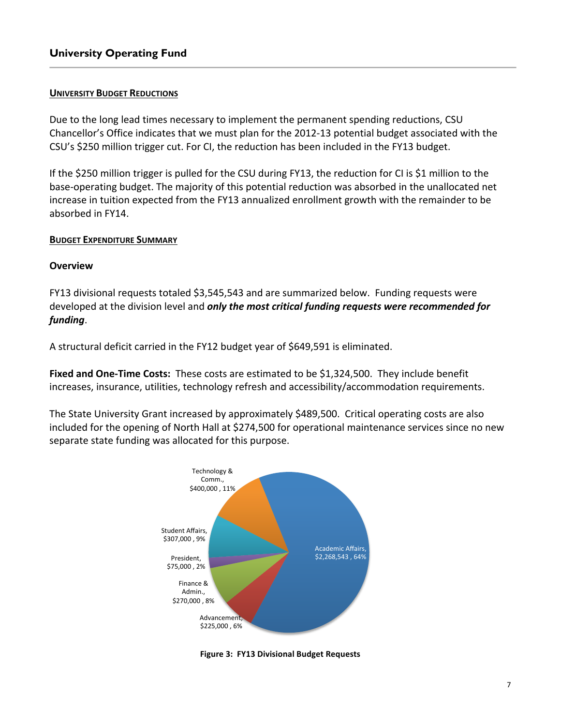#### **UNIVERSITY BUDGET REDUCTIONS**

Due to the long lead times necessary to implement the permanent spending reductions, CSU Chancellor's Office indicates that we must plan for the 2012-13 potential budget associated with the CSU's \$250 million trigger cut. For CI, the reduction has been included in the FY13 budget.

If the \$250 million trigger is pulled for the CSU during FY13, the reduction for CI is \$1 million to the base-operating budget. The majority of this potential reduction was absorbed in the unallocated net increase in tuition expected from the FY13 annualized enrollment growth with the remainder to be absorbed in FY14.

#### **BUDGET EXPENDITURE SUMMARY**

#### **Overview**

FY13 divisional requests totaled \$3,545,543 and are summarized below. Funding requests were developed at the division level and *only the most critical funding requests were recommended for* funding.

A structural deficit carried in the FY12 budget year of \$649,591 is eliminated.

Fixed and One-Time Costs: These costs are estimated to be \$1,324,500. They include benefit increases, insurance, utilities, technology refresh and accessibility/accommodation requirements.

The State University Grant increased by approximately \$489,500. Critical operating costs are also included for the opening of North Hall at \$274,500 for operational maintenance services since no new separate state funding was allocated for this purpose.



**Figure 3: FY13 Divisional Budget Requests**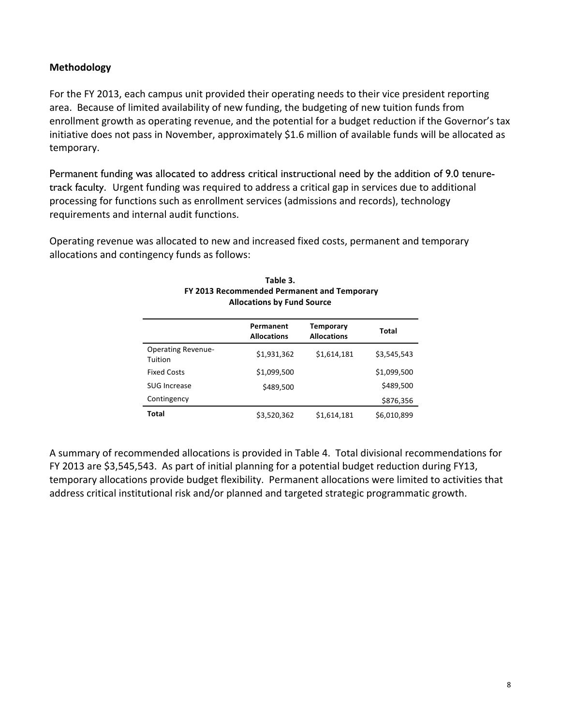### **Methodology**

For the FY 2013, each campus unit provided their operating needs to their vice president reporting area. Because of limited availability of new funding, the budgeting of new tuition funds from enrollment growth as operating revenue, and the potential for a budget reduction if the Governor's tax initiative does not pass in November, approximately \$1.6 million of available funds will be allocated as temporary.

Permanent funding was allocated to address critical instructional need by the addition of 9.0 tenuretrack faculty. Urgent funding was required to address a critical gap in services due to additional processing for functions such as enrollment services (admissions and records), technology requirements and internal audit functions.

Operating revenue was allocated to new and increased fixed costs, permanent and temporary allocations and contingency funds as follows:

|                                      | Permanent<br><b>Allocations</b> | <b>Temporary</b><br><b>Allocations</b> | Total       |
|--------------------------------------|---------------------------------|----------------------------------------|-------------|
| <b>Operating Revenue-</b><br>Tuition | \$1,931,362                     | \$1,614,181                            | \$3,545,543 |
| <b>Fixed Costs</b>                   | \$1,099,500                     |                                        | \$1,099,500 |
| SUG Increase                         | \$489,500                       |                                        | \$489,500   |
| Contingency                          |                                 |                                        | \$876,356   |
| Total                                | \$3,520,362                     | \$1,614,181                            | \$6,010,899 |

#### **Table#3. FY 2013 Recommended Permanent and Temporary Allocations by Fund Source**

A summary of recommended allocations is provided in Table 4. Total divisional recommendations for FY 2013 are \$3,545,543. As part of initial planning for a potential budget reduction during FY13, temporary allocations provide budget flexibility. Permanent allocations were limited to activities that address critical institutional risk and/or planned and targeted strategic programmatic growth.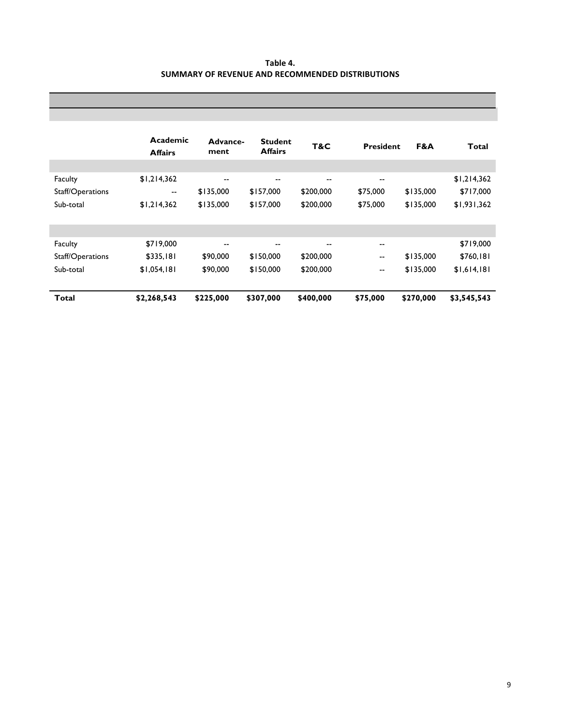| Table 4.                                                |  |
|---------------------------------------------------------|--|
| <b>SUMMARY OF REVENUE AND RECOMMENDED DISTRIBUTIONS</b> |  |

|                  | Academic<br><b>Affairs</b> | Advance-<br>ment         | <b>Student</b><br><b>Affairs</b> | T&C       | <b>President</b>         | F&A       | Total       |
|------------------|----------------------------|--------------------------|----------------------------------|-----------|--------------------------|-----------|-------------|
|                  |                            |                          |                                  |           |                          |           |             |
| Faculty          | \$1,214,362                | $\overline{\phantom{m}}$ | --                               | $- -$     | $- -$                    |           | \$1,214,362 |
| Staff/Operations | $\overline{\phantom{m}}$   | \$135,000                | \$157,000                        | \$200,000 | \$75,000                 | \$135,000 | \$717,000   |
| Sub-total        | \$1,214,362                | \$135,000                | \$157,000                        | \$200,000 | \$75,000                 | \$135,000 | \$1,931,362 |
|                  |                            |                          |                                  |           |                          |           |             |
|                  |                            |                          |                                  |           |                          |           |             |
| Faculty          | \$719,000                  | $- -$                    | --                               |           | $\sim$                   |           | \$719,000   |
| Staff/Operations | \$335,181                  | \$90,000                 | \$150,000                        | \$200,000 | $\overline{\phantom{m}}$ | \$135,000 | \$760,181   |
| Sub-total        | \$1,054,181                | \$90,000                 | \$150,000                        | \$200,000 | $\overline{\phantom{m}}$ | \$135,000 | \$1,614,181 |
|                  |                            |                          |                                  |           |                          |           |             |
| Total            | \$2,268,543                | \$225,000                | \$307,000                        | \$400,000 | \$75,000                 | \$270,000 | \$3,545,543 |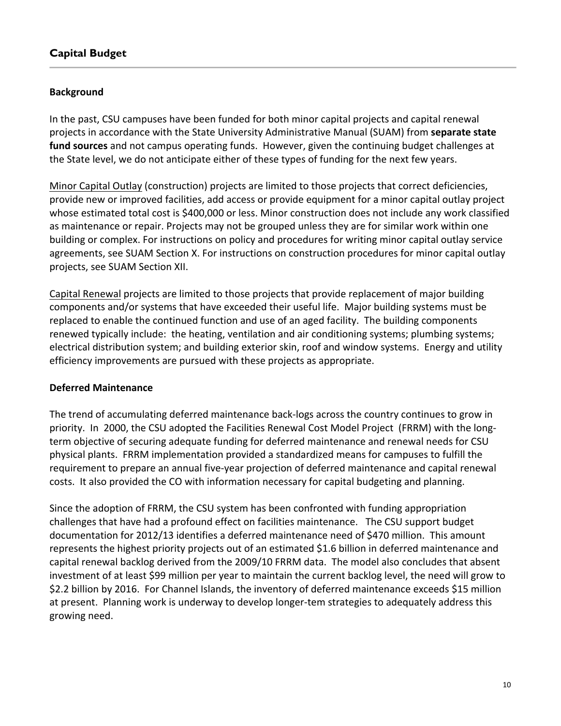## **Capital Budget**

## **Background**

In the past, CSU campuses have been funded for both minor capital projects and capital renewal projects in accordance with the State University Administrative Manual (SUAM) from **separate state** fund sources and not campus operating funds. However, given the continuing budget challenges at the State level, we do not anticipate either of these types of funding for the next few years.

Minor Capital Outlay (construction) projects are limited to those projects that correct deficiencies, provide new or improved facilities, add access or provide equipment for a minor capital outlay project whose estimated total cost is \$400,000 or less. Minor construction does not include any work classified as maintenance or repair. Projects may not be grouped unless they are for similar work within one building or complex. For instructions on policy and procedures for writing minor capital outlay service agreements, see SUAM Section X. For instructions on construction procedures for minor capital outlay projects, see SUAM Section XII.

Capital Renewal projects are limited to those projects that provide replacement of major building components and/or systems that have exceeded their useful life. Major building systems must be replaced to enable the continued function and use of an aged facility. The building components renewed typically include: the heating, ventilation and air conditioning systems; plumbing systems; electrical distribution system; and building exterior skin, roof and window systems. Energy and utility efficiency improvements are pursued with these projects as appropriate.

## **Deferred Maintenance**

The trend of accumulating deferred maintenance back-logs across the country continues to grow in priority. In 2000, the CSU adopted the Facilities Renewal Cost Model Project (FRRM) with the longterm objective of securing adequate funding for deferred maintenance and renewal needs for CSU physical plants. FRRM implementation provided a standardized means for campuses to fulfill the requirement to prepare an annual five-year projection of deferred maintenance and capital renewal costs. It also provided the CO with information necessary for capital budgeting and planning.

Since the adoption of FRRM, the CSU system has been confronted with funding appropriation challenges that have had a profound effect on facilities maintenance. The CSU support budget documentation for 2012/13 identifies a deferred maintenance need of \$470 million. This amount represents the highest priority projects out of an estimated \$1.6 billion in deferred maintenance and capital renewal backlog derived from the 2009/10 FRRM data. The model also concludes that absent investment of at least \$99 million per year to maintain the current backlog level, the need will grow to \$2.2 billion by 2016. For Channel Islands, the inventory of deferred maintenance exceeds \$15 million at present. Planning work is underway to develop longer-tem strategies to adequately address this growing need.